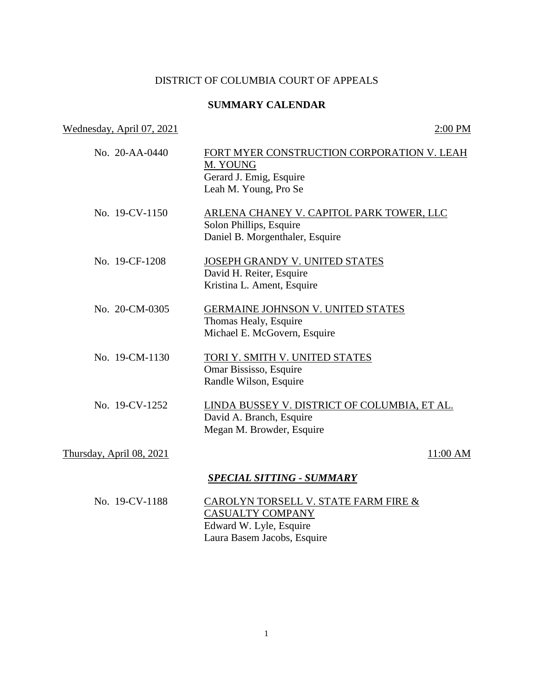## DISTRICT OF COLUMBIA COURT OF APPEALS

## **SUMMARY CALENDAR**

Wednesday, April 07, 2021 2:00 PM

| No. 20-AA-0440           | FORT MYER CONSTRUCTION CORPORATION V. LEAH<br>M. YOUNG<br>Gerard J. Emig, Esquire<br>Leah M. Young, Pro Se                |
|--------------------------|---------------------------------------------------------------------------------------------------------------------------|
| No. 19-CV-1150           | ARLENA CHANEY V. CAPITOL PARK TOWER, LLC<br>Solon Phillips, Esquire<br>Daniel B. Morgenthaler, Esquire                    |
| No. 19-CF-1208           | JOSEPH GRANDY V. UNITED STATES<br>David H. Reiter, Esquire<br>Kristina L. Ament, Esquire                                  |
| No. 20-CM-0305           | <b>GERMAINE JOHNSON V. UNITED STATES</b><br>Thomas Healy, Esquire<br>Michael E. McGovern, Esquire                         |
| No. 19-CM-1130           | TORI Y. SMITH V. UNITED STATES<br>Omar Bississo, Esquire<br>Randle Wilson, Esquire                                        |
| No. 19-CV-1252           | LINDA BUSSEY V. DISTRICT OF COLUMBIA, ET AL.<br>David A. Branch, Esquire<br>Megan M. Browder, Esquire                     |
| Thursday, April 08, 2021 | 11:00 AM                                                                                                                  |
|                          | <b>SPECIAL SITTING - SUMMARY</b>                                                                                          |
| No. 19-CV-1188           | CAROLYN TORSELL V. STATE FARM FIRE &<br><b>CASUALTY COMPANY</b><br>Edward W. Lyle, Esquire<br>Laura Basem Jacobs, Esquire |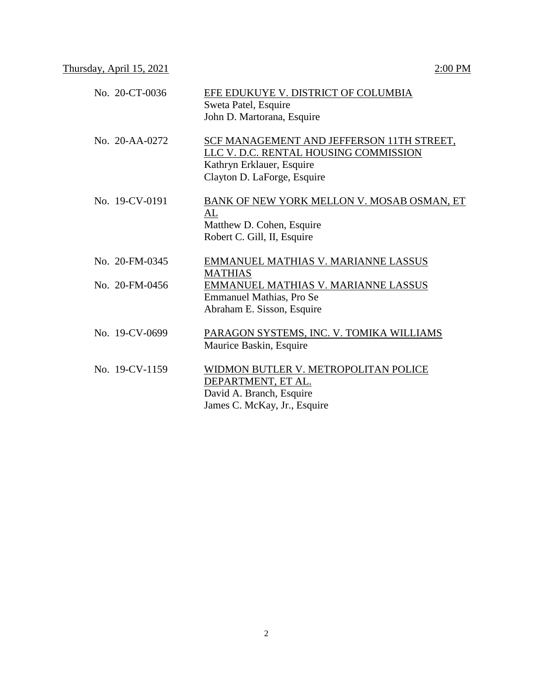| No. 20-CT-0036 | EFE EDUKUYE V. DISTRICT OF COLUMBIA<br>Sweta Patel, Esquire<br>John D. Martorana, Esquire                                                      |
|----------------|------------------------------------------------------------------------------------------------------------------------------------------------|
| No. 20-AA-0272 | SCF MANAGEMENT AND JEFFERSON 11TH STREET,<br>LLC V. D.C. RENTAL HOUSING COMMISSION<br>Kathryn Erklauer, Esquire<br>Clayton D. LaForge, Esquire |
| No. 19-CV-0191 | BANK OF NEW YORK MELLON V. MOSAB OSMAN, ET<br>AL<br>Matthew D. Cohen, Esquire<br>Robert C. Gill, II, Esquire                                   |
| No. 20-FM-0345 | EMMANUEL MATHIAS V. MARIANNE LASSUS<br><b>MATHIAS</b>                                                                                          |
| No. 20-FM-0456 | EMMANUEL MATHIAS V. MARIANNE LASSUS<br><b>Emmanuel Mathias, Pro Se</b><br>Abraham E. Sisson, Esquire                                           |
| No. 19-CV-0699 | PARAGON SYSTEMS, INC. V. TOMIKA WILLIAMS<br>Maurice Baskin, Esquire                                                                            |
| No. 19-CV-1159 | WIDMON BUTLER V. METROPOLITAN POLICE<br>DEPARTMENT, ET AL.<br>David A. Branch, Esquire<br>James C. McKay, Jr., Esquire                         |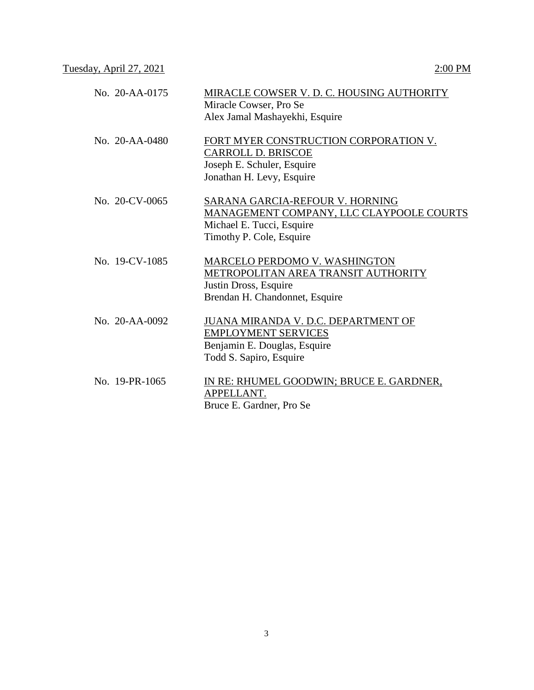| No. 20-AA-0175   | MIRACLE COWSER V. D. C. HOUSING AUTHORITY                                                                                                   |
|------------------|---------------------------------------------------------------------------------------------------------------------------------------------|
|                  | Miracle Cowser, Pro Se                                                                                                                      |
|                  | Alex Jamal Mashayekhi, Esquire                                                                                                              |
| No. 20-AA-0480   | FORT MYER CONSTRUCTION CORPORATION V.<br><b>CARROLL D. BRISCOE</b><br>Joseph E. Schuler, Esquire<br>Jonathan H. Levy, Esquire               |
| No. 20-CV-0065   | <b>SARANA GARCIA-REFOUR V. HORNING</b><br>MANAGEMENT COMPANY, LLC CLAYPOOLE COURTS<br>Michael E. Tucci, Esquire<br>Timothy P. Cole, Esquire |
| No. 19-CV-1085   | MARCELO PERDOMO V. WASHINGTON<br>METROPOLITAN AREA TRANSIT AUTHORITY<br>Justin Dross, Esquire<br>Brendan H. Chandonnet, Esquire             |
| $No. 20-AA-0092$ | JUANA MIRANDA V. D.C. DEPARTMENT OF<br><b>EMPLOYMENT SERVICES</b><br>Benjamin E. Douglas, Esquire<br>Todd S. Sapiro, Esquire                |
| No. 19-PR-1065   | IN RE: RHUMEL GOODWIN; BRUCE E. GARDNER,<br>APPELLANT.<br>Bruce E. Gardner, Pro Se                                                          |